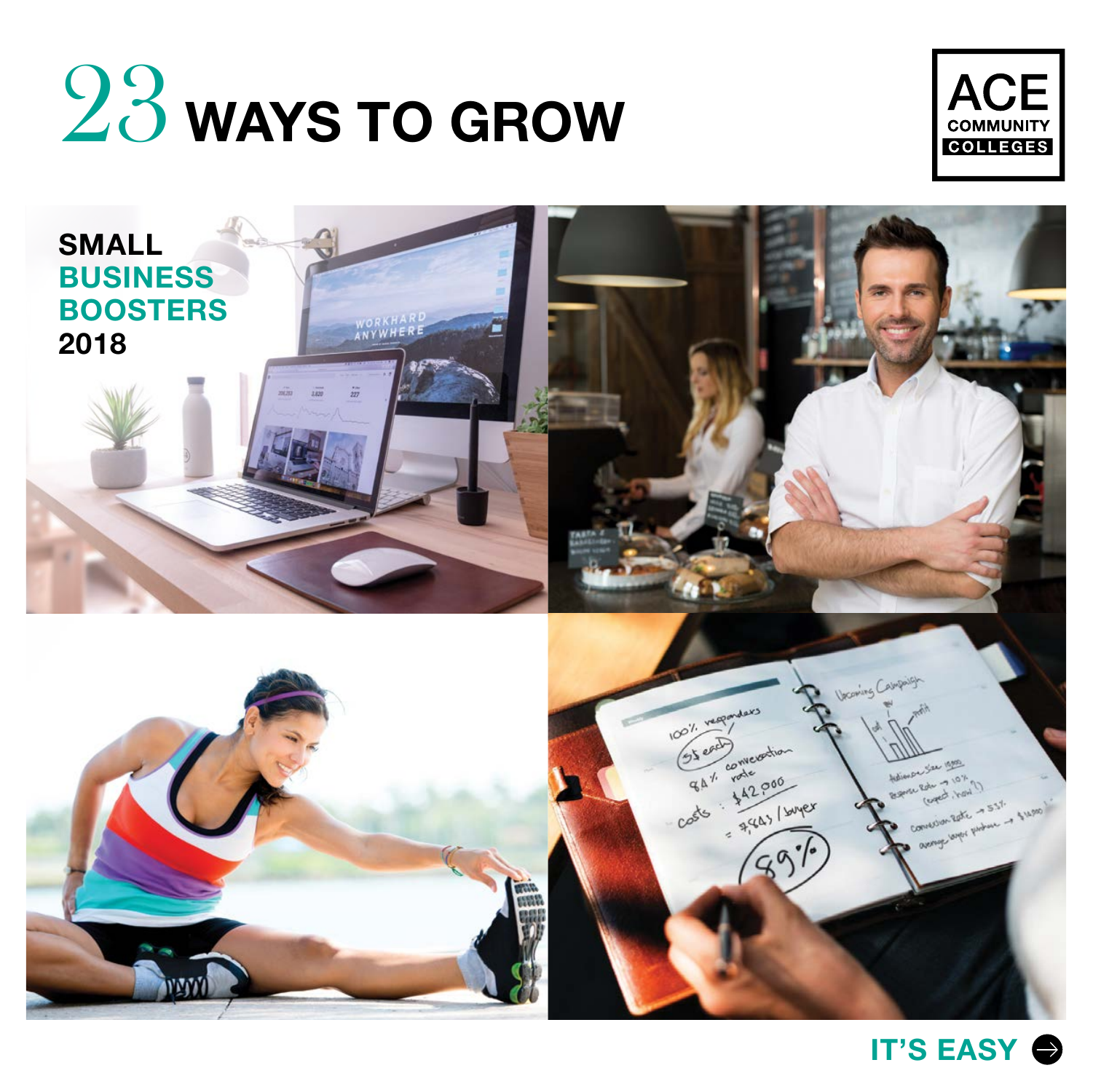





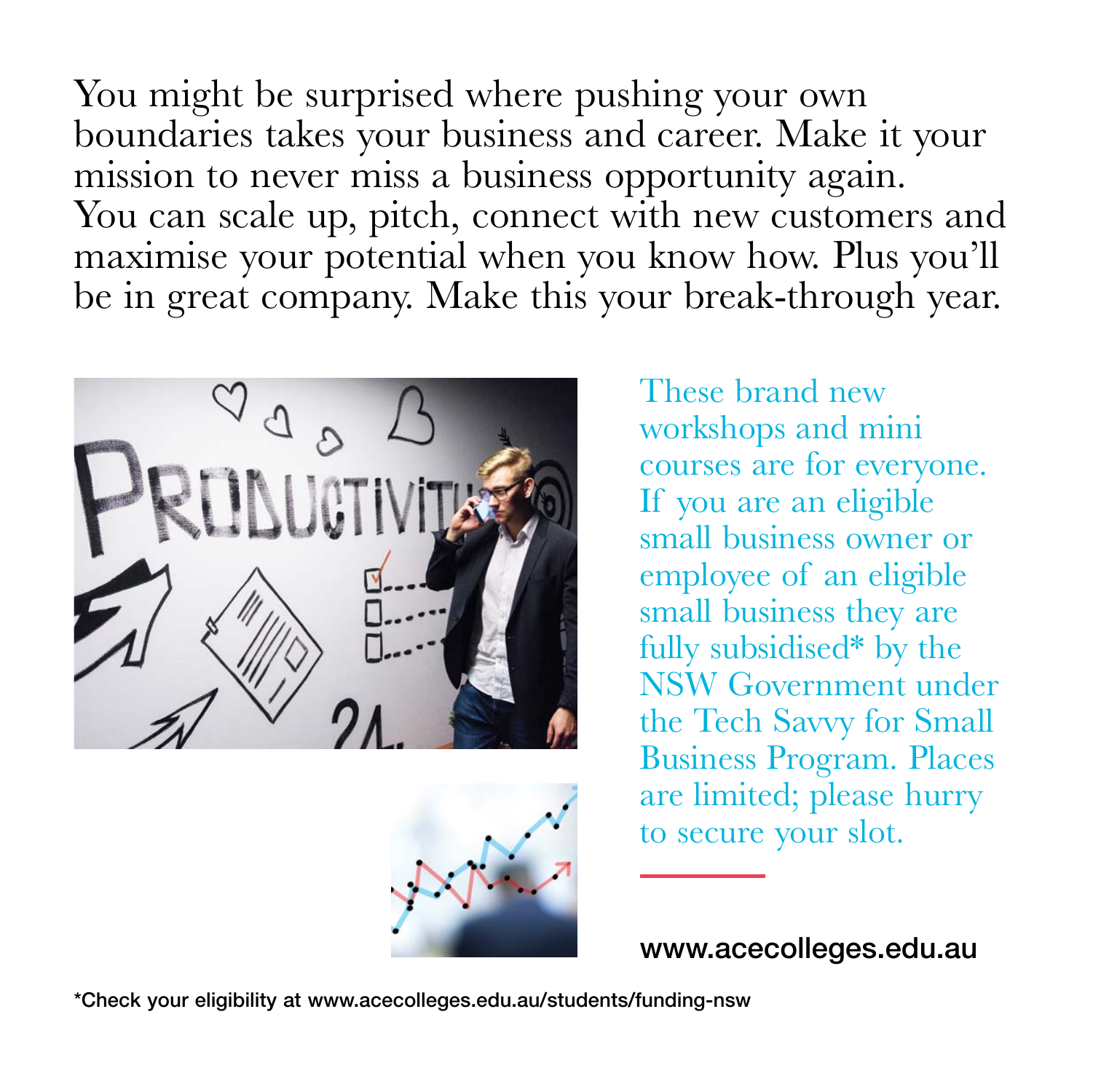You might be surprised where pushing your own boundaries takes your business and career. Make it your mission to never miss a business opportunity again. You can scale up, pitch, connect with new customers and maximise your potential when you know how. Plus you'll be in great company. Make this your break-through year.





These brand new workshops and mini courses are for everyone. If you are an eligible small business owner or employee of an eligible small business they are fully subsidised\* by the NSW Government under the Tech Savvy for Small Business Program. Places are limited; please hurry to secure your slot.

www.acecolleges.edu.au

\*Check your eligibility at www.acecolleges.edu.au/students/funding-nsw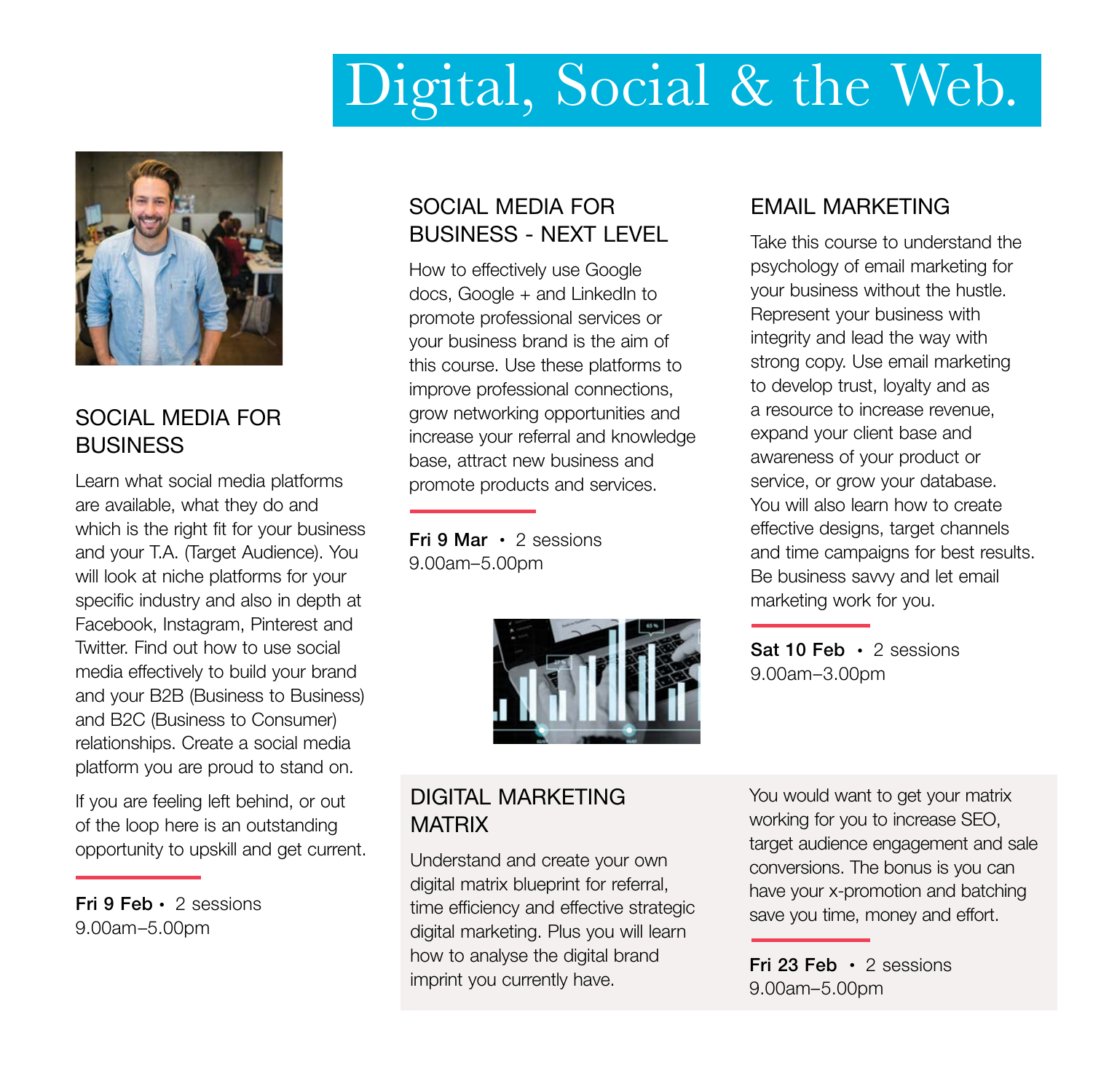## Digital, Social & the Web.



#### SOCIAL MEDIA FOR **BUSINESS**

Learn what social media platforms are available, what they do and which is the right fit for your business and your T.A. (Target Audience). You will look at niche platforms for your specific industry and also in depth at Facebook, Instagram, Pinterest and Twitter. Find out how to use social media effectively to build your brand and your B2B (Business to Business) and B2C (Business to Consumer) relationships. Create a social media platform you are proud to stand on.

If you are feeling left behind, or out of the loop here is an outstanding opportunity to upskill and get current.

Fri 9 Feb • 2 sessions 9.00am–5.00pm

#### SOCIAL MEDIA FOR BUSINESS - NEXT LEVEL

How to effectively use Google docs, Google + and LinkedIn to promote professional services or your business brand is the aim of this course. Use these platforms to improve professional connections, grow networking opportunities and increase your referral and knowledge base, attract new business and promote products and services.

Fri 9 Mar • 2 sessions 9.00am–5.00pm



#### EMAIL MARKETING

Take this course to understand the psychology of email marketing for your business without the hustle. Represent your business with integrity and lead the way with strong copy. Use email marketing to develop trust, loyalty and as a resource to increase revenue, expand your client base and awareness of your product or service, or grow your database. You will also learn how to create effective designs, target channels and time campaigns for best results. Be business savvy and let email marketing work for you.

Sat 10 Feb • 2 sessions 9.00am–3.00pm

#### DIGITAL MARKETING **MATRIX**

Understand and create your own digital matrix blueprint for referral, time efficiency and effective strategic digital marketing. Plus you will learn how to analyse the digital brand imprint you currently have.

You would want to get your matrix working for you to increase SEO, target audience engagement and sale conversions. The bonus is you can have your x-promotion and batching save you time, money and effort.

Fri 23 Feb • 2 sessions 9.00am–5.00pm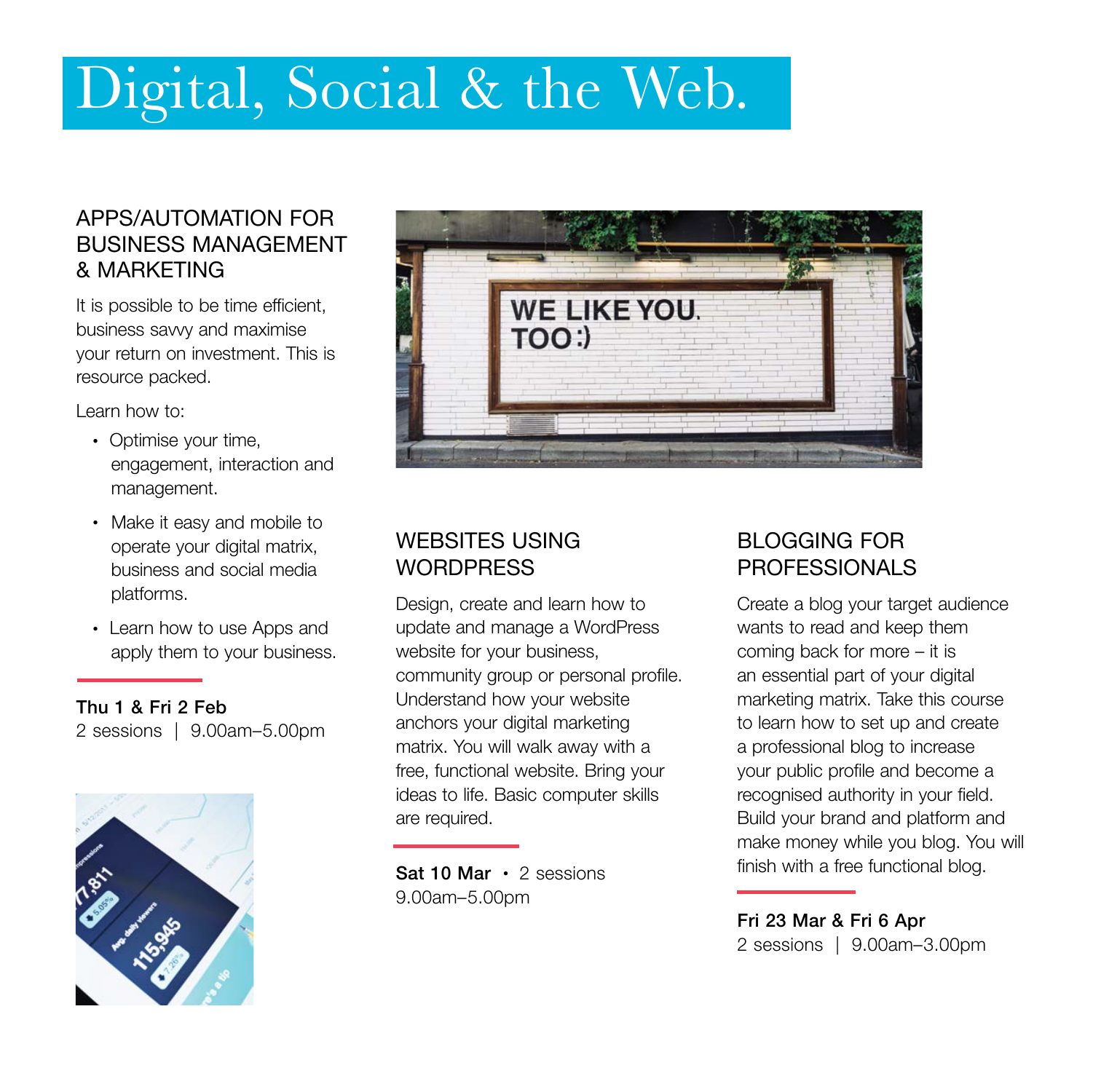## Digital, Social & the Web.

#### APPS/AUTOMATION FOR BUSINESS MANAGEMENT & MARKETING

It is possible to be time efficient, business savvy and maximise your return on investment. This is resource packed.

Learn how to:

- Optimise your time, engagement, interaction and management.
- Make it easy and mobile to operate your digital matrix, business and social media platforms.
- Learn how to use Apps and apply them to your business.

Thu 1 & Fri 2 Feb 2 sessions | 9.00am–5.00pm





#### WEBSITES USING **WORDPRESS**

Design, create and learn how to update and manage a WordPress website for your business, community group or personal profile. Understand how your website anchors your digital marketing matrix. You will walk away with a free, functional website. Bring your ideas to life. Basic computer skills are required.

Sat 10 Mar • 2 sessions 9.00am–5.00pm

#### BLOGGING FOR PROFESSIONALS

Create a blog your target audience wants to read and keep them coming back for more – it is an essential part of your digital marketing matrix. Take this course to learn how to set up and create a professional blog to increase your public profile and become a recognised authority in your field. Build your brand and platform and make money while you blog. You will finish with a free functional blog.

Fri 23 Mar & Fri 6 Apr 2 sessions | 9.00am–3.00pm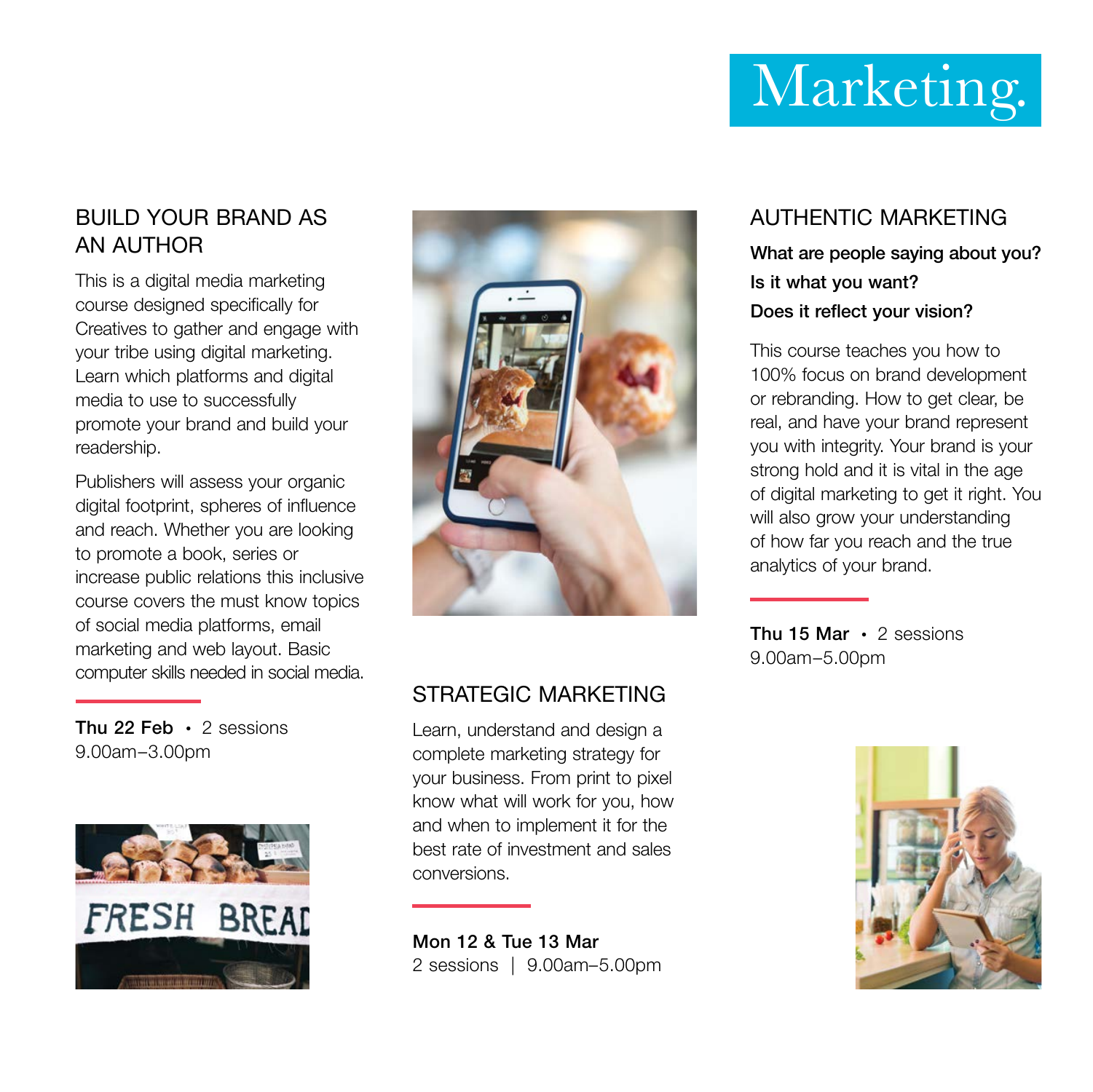# Marketing.

#### BUILD YOUR BRAND AS AN AUTHOR

This is a digital media marketing course designed specifically for Creatives to gather and engage with your tribe using digital marketing. Learn which platforms and digital media to use to successfully promote your brand and build your readership.

Publishers will assess your organic digital footprint, spheres of influence and reach. Whether you are looking to promote a book, series or increase public relations this inclusive course covers the must know topics of social media platforms, email marketing and web layout. Basic computer skills needed in social media.

Thu 22 Feb  $\cdot$  2 sessions 9.00am–3.00pm





#### STRATEGIC MARKETING

Learn, understand and design a complete marketing strategy for your business. From print to pixel know what will work for you, how and when to implement it for the best rate of investment and sales conversions.

Mon 12 & Tue 13 Mar 2 sessions | 9.00am–5.00pm

#### AUTHENTIC MARKETING What are people saying about you? Is it what you want?

#### Does it reflect your vision?

This course teaches you how to 100% focus on brand development or rebranding. How to get clear, be real, and have your brand represent you with integrity. Your brand is your strong hold and it is vital in the age of digital marketing to get it right. You will also grow your understanding of how far you reach and the true analytics of your brand.

Thu 15 Mar  $\cdot$  2 sessions 9.00am–5.00pm

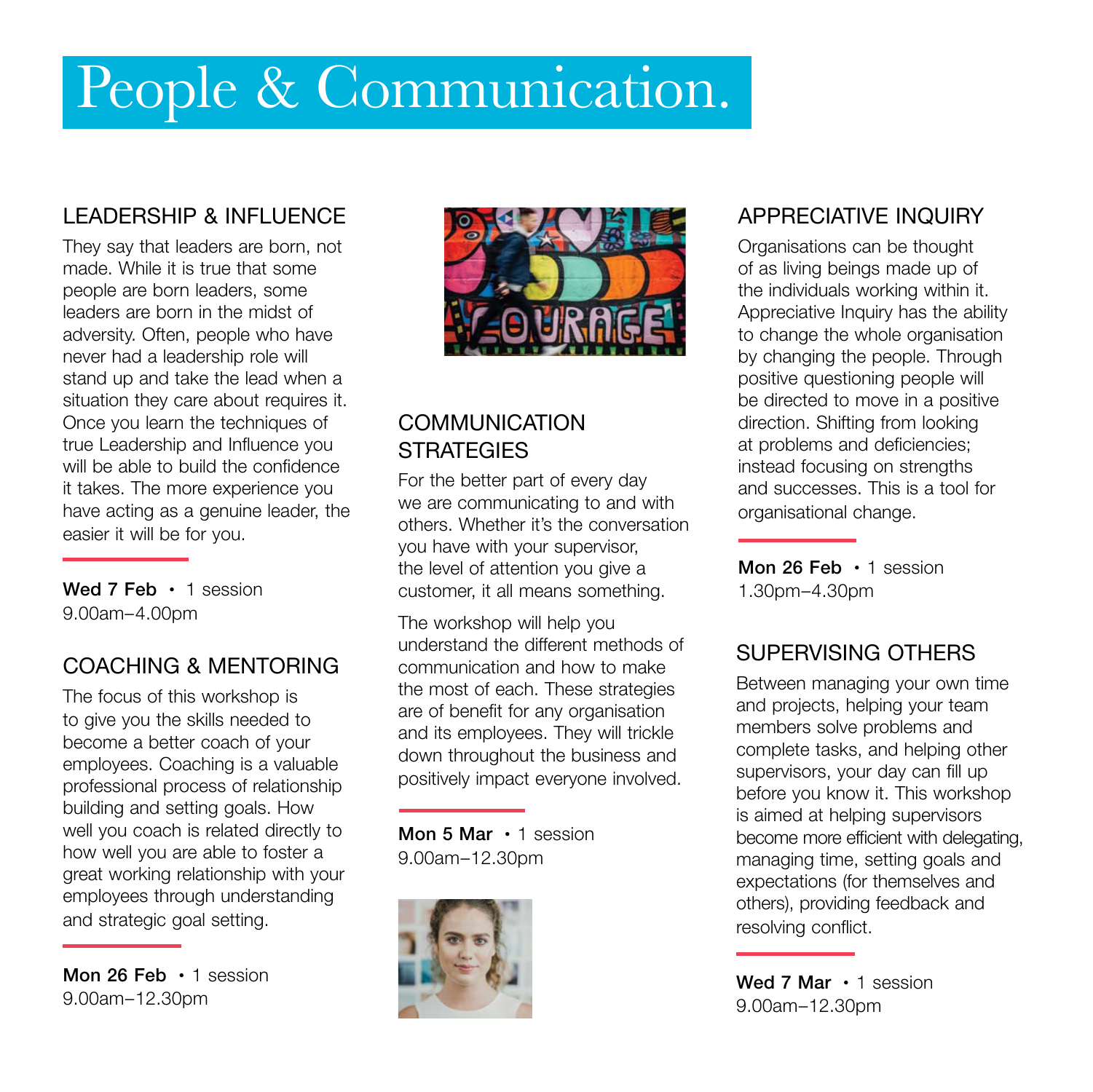# People & Communication.

#### LEADERSHIP & INFLUENCE

They say that leaders are born, not made. While it is true that some people are born leaders, some leaders are born in the midst of adversity. Often, people who have never had a leadership role will stand up and take the lead when a situation they care about requires it. Once you learn the techniques of true Leadership and Influence you will be able to build the confidence it takes. The more experience you have acting as a genuine leader, the easier it will be for you.

Wed 7 Feb • 1 session 9.00am–4.00pm

#### COACHING & MENTORING

The focus of this workshop is to give you the skills needed to become a better coach of your employees. Coaching is a valuable professional process of relationship building and setting goals. How well you coach is related directly to how well you are able to foster a great working relationship with your employees through understanding and strategic goal setting.

Mon 26 Feb  $\cdot$  1 session 9.00am–12.30pm



#### **COMMUNICATION STRATEGIES**

For the better part of every day we are communicating to and with others. Whether it's the conversation you have with your supervisor, the level of attention you give a customer, it all means something.

The workshop will help you understand the different methods of communication and how to make the most of each. These strategies are of benefit for any organisation and its employees. They will trickle down throughout the business and positively impact everyone involved.

Mon 5 Mar • 1 session 9.00am–12.30pm



#### APPRECIATIVE INQUIRY

Organisations can be thought of as living beings made up of the individuals working within it. Appreciative Inquiry has the ability to change the whole organisation by changing the people. Through positive questioning people will be directed to move in a positive direction. Shifting from looking at problems and deficiencies; instead focusing on strengths and successes. This is a tool for organisational change.

Mon 26 Feb • 1 session 1.30pm–4.30pm

#### SUPERVISING OTHERS

Between managing your own time and projects, helping your team members solve problems and complete tasks, and helping other supervisors, your day can fill up before you know it. This workshop is aimed at helping supervisors become more efficient with delegating, managing time, setting goals and expectations (for themselves and others), providing feedback and resolving conflict.

Wed 7 Mar • 1 session 9.00am–12.30pm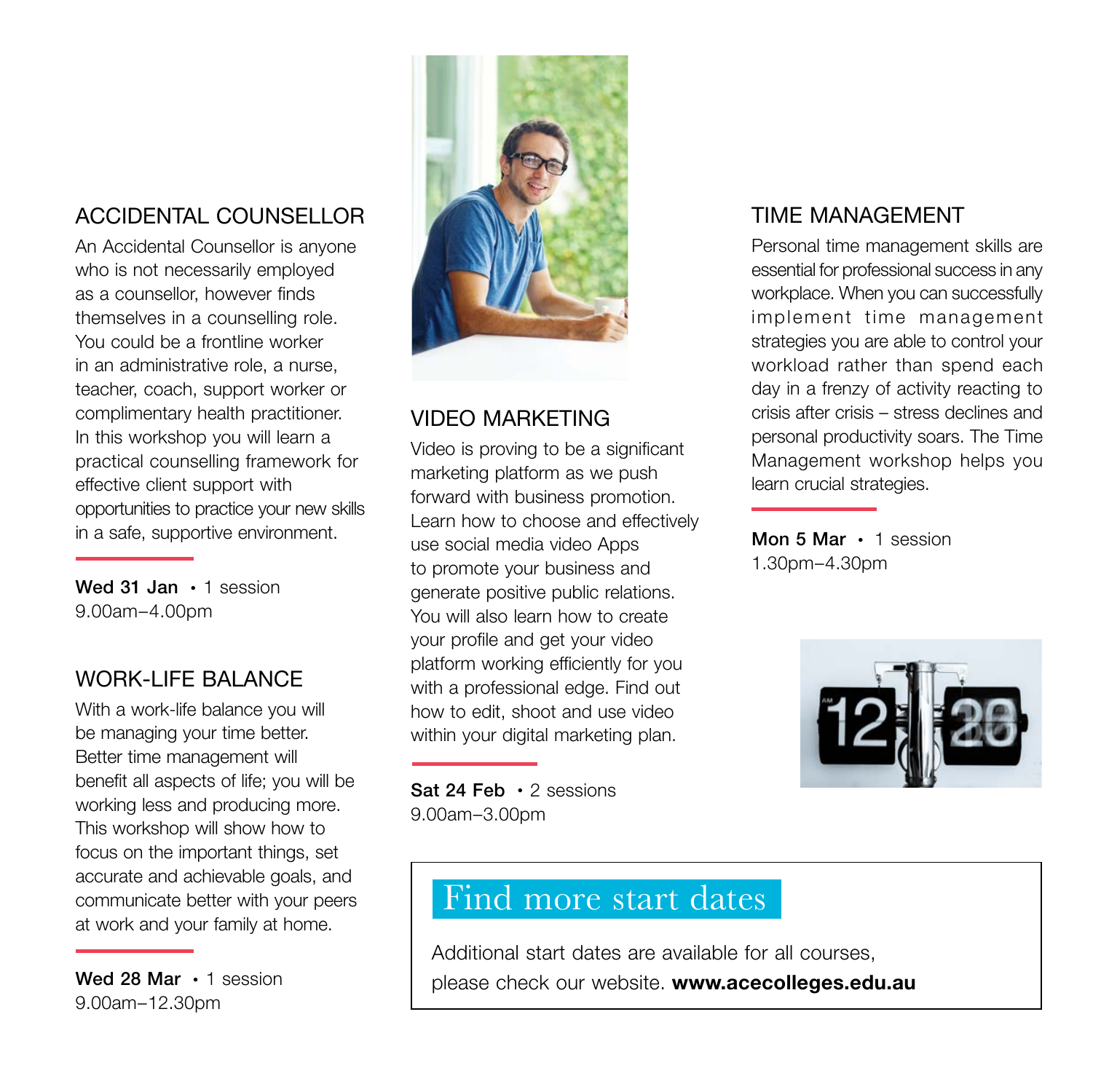#### ACCIDENTAL COUNSELLOR

An Accidental Counsellor is anyone who is not necessarily employed as a counsellor, however finds themselves in a counselling role. You could be a frontline worker in an administrative role, a nurse, teacher, coach, support worker or complimentary health practitioner. In this workshop you will learn a practical counselling framework for effective client support with opportunities to practice your new skills in a safe, supportive environment.

Wed 31 Jan • 1 session 9.00am–4.00pm

#### WORK-LIFF BALANCE

With a work-life balance you will be managing your time better. Better time management will benefit all aspects of life; you will be working less and producing more. This workshop will show how to focus on the important things, set accurate and achievable goals, and communicate better with your peers at work and your family at home.

Wed 28 Mar • 1 session 9.00am–12.30pm



#### VIDEO MARKETING

Video is proving to be a significant marketing platform as we push forward with business promotion. Learn how to choose and effectively use social media video Apps to promote your business and generate positive public relations. You will also learn how to create your profile and get your video platform working efficiently for you with a professional edge. Find out how to edit, shoot and use video within your digital marketing plan.

Sat 24 Feb • 2 sessions 9.00am–3.00pm

#### TIME MANAGEMENT

Personal time management skills are essential for professional success in any workplace. When you can successfully implement time management strategies you are able to control your workload rather than spend each day in a frenzy of activity reacting to crisis after crisis – stress declines and personal productivity soars. The Time Management workshop helps you learn crucial strategies.

Mon 5 Mar • 1 session 1.30pm–4.30pm



### Find more start dates

Additional start dates are available for all courses, please check our website. www.acecolleges.edu.au